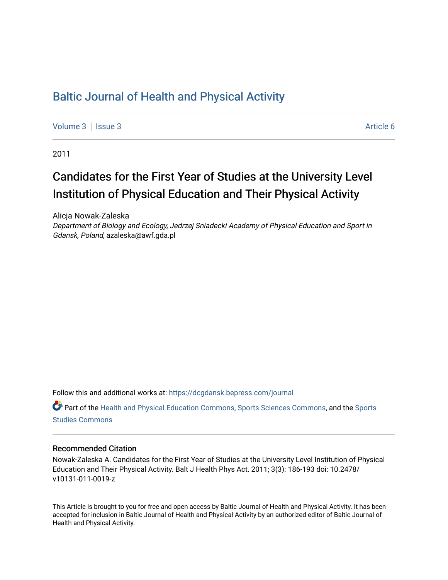# [Baltic Journal of Health and Physical Activity](https://dcgdansk.bepress.com/journal)

[Volume 3](https://dcgdansk.bepress.com/journal/vol3) | [Issue 3](https://dcgdansk.bepress.com/journal/vol3/iss3) Article 6

2011

# Candidates for the First Year of Studies at the University Level Institution of Physical Education and Their Physical Activity

Alicja Nowak-Zaleska Department of Biology and Ecology, Jedrzej Sniadecki Academy of Physical Education and Sport in Gdansk, Poland, azaleska@awf.gda.pl

Follow this and additional works at: [https://dcgdansk.bepress.com/journal](https://dcgdansk.bepress.com/journal?utm_source=dcgdansk.bepress.com%2Fjournal%2Fvol3%2Fiss3%2F6&utm_medium=PDF&utm_campaign=PDFCoverPages)

Part of the [Health and Physical Education Commons](http://network.bepress.com/hgg/discipline/1327?utm_source=dcgdansk.bepress.com%2Fjournal%2Fvol3%2Fiss3%2F6&utm_medium=PDF&utm_campaign=PDFCoverPages), [Sports Sciences Commons](http://network.bepress.com/hgg/discipline/759?utm_source=dcgdansk.bepress.com%2Fjournal%2Fvol3%2Fiss3%2F6&utm_medium=PDF&utm_campaign=PDFCoverPages), and the [Sports](http://network.bepress.com/hgg/discipline/1198?utm_source=dcgdansk.bepress.com%2Fjournal%2Fvol3%2Fiss3%2F6&utm_medium=PDF&utm_campaign=PDFCoverPages)  [Studies Commons](http://network.bepress.com/hgg/discipline/1198?utm_source=dcgdansk.bepress.com%2Fjournal%2Fvol3%2Fiss3%2F6&utm_medium=PDF&utm_campaign=PDFCoverPages) 

#### Recommended Citation

Nowak-Zaleska A. Candidates for the First Year of Studies at the University Level Institution of Physical Education and Their Physical Activity. Balt J Health Phys Act. 2011; 3(3): 186-193 doi: 10.2478/ v10131-011-0019-z

This Article is brought to you for free and open access by Baltic Journal of Health and Physical Activity. It has been accepted for inclusion in Baltic Journal of Health and Physical Activity by an authorized editor of Baltic Journal of Health and Physical Activity.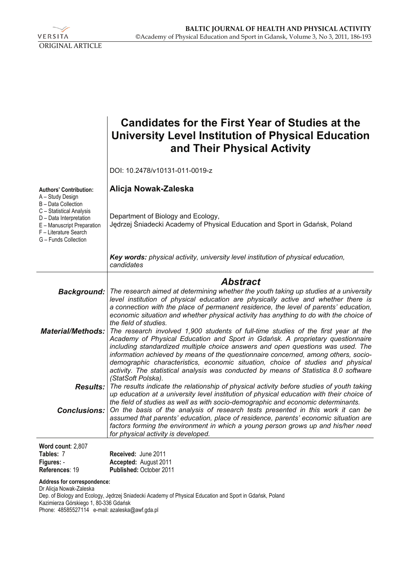

|                                                                                                                                                           | <b>Candidates for the First Year of Studies at the</b><br><b>University Level Institution of Physical Education</b><br>and Their Physical Activity                                                                                                                                                                                                                                                                                                                                                                       |
|-----------------------------------------------------------------------------------------------------------------------------------------------------------|--------------------------------------------------------------------------------------------------------------------------------------------------------------------------------------------------------------------------------------------------------------------------------------------------------------------------------------------------------------------------------------------------------------------------------------------------------------------------------------------------------------------------|
|                                                                                                                                                           | DOI: 10.2478/v10131-011-0019-z                                                                                                                                                                                                                                                                                                                                                                                                                                                                                           |
| <b>Authors' Contribution:</b><br>A - Study Design                                                                                                         | Alicja Nowak-Zaleska                                                                                                                                                                                                                                                                                                                                                                                                                                                                                                     |
| B - Data Collection<br>C - Statistical Analysis<br>D - Data Interpretation<br>E - Manuscript Preparation<br>F - Literature Search<br>G - Funds Collection | Department of Biology and Ecology,<br>Jędrzej Śniadecki Academy of Physical Education and Sport in Gdańsk, Poland                                                                                                                                                                                                                                                                                                                                                                                                        |
|                                                                                                                                                           | Key words: physical activity, university level institution of physical education,<br>candidates                                                                                                                                                                                                                                                                                                                                                                                                                          |
|                                                                                                                                                           | <b>Abstract</b>                                                                                                                                                                                                                                                                                                                                                                                                                                                                                                          |
| <b>Background:</b>                                                                                                                                        | The research aimed at determining whether the youth taking up studies at a university<br>level institution of physical education are physically active and whether there is<br>a connection with the place of permanent residence, the level of parents' education,<br>economic situation and whether physical activity has anything to do with the choice of<br>the field of studies.                                                                                                                                   |
| <b>Material/Methods:</b>                                                                                                                                  | The research involved 1,900 students of full-time studies of the first year at the<br>Academy of Physical Education and Sport in Gdańsk. A proprietary questionnaire<br>including standardized multiple choice answers and open questions was used. The<br>information achieved by means of the questionnaire concerned, among others, socio-<br>demographic characteristics, economic situation, choice of studies and physical<br>activity. The statistical analysis was conducted by means of Statistica 8.0 software |
| <b>Results:</b>                                                                                                                                           | (StatSoft Polska).<br>The results indicate the relationship of physical activity before studies of youth taking<br>up education at a university level institution of physical education with their choice of                                                                                                                                                                                                                                                                                                             |
| <b>Conclusions:</b>                                                                                                                                       | the field of studies as well as with socio-demographic and economic determinants.<br>On the basis of the analysis of research tests presented in this work it can be<br>assumed that parents' education, place of residence, parents' economic situation are<br>factors forming the environment in which a young person grows up and his/her need<br>for physical activity is developed.                                                                                                                                 |
| Word count: 2,807                                                                                                                                         |                                                                                                                                                                                                                                                                                                                                                                                                                                                                                                                          |
| Tables: 7<br>Figures: -                                                                                                                                   | Received: June 2011<br>Accepted: August 2011                                                                                                                                                                                                                                                                                                                                                                                                                                                                             |
| References: 19                                                                                                                                            | Published: October 2011                                                                                                                                                                                                                                                                                                                                                                                                                                                                                                  |

**Address for correspondence:** 

Dr Alicja Nowak-Zaleska Dep. of Biology and Ecology, Jędrzej Sniadecki Academy of Physical Education and Sport in Gdańsk, Poland Kazimierza Górskiego 1, 80-336 Gdańsk Phone: 48585527114 e-mail: azaleska@awf.gda.pl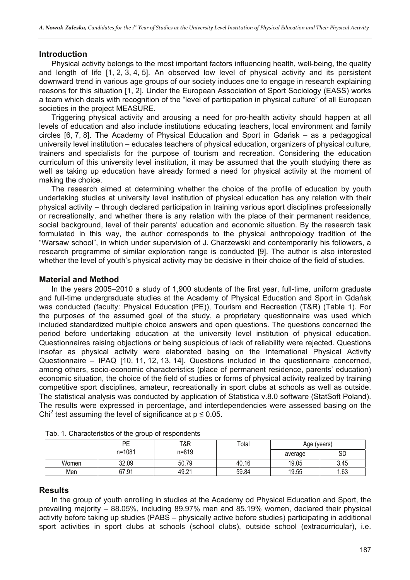# **Introduction**

Physical activity belongs to the most important factors influencing health, well-being, the quality and length of life [1, 2, 3, 4, 5]. An observed low level of physical activity and its persistent downward trend in various age groups of our society induces one to engage in research explaining reasons for this situation [1, 2]. Under the European Association of Sport Sociology (EASS) works a team which deals with recognition of the "level of participation in physical culture" of all European societies in the project MEASURE.

Triggering physical activity and arousing a need for pro-health activity should happen at all levels of education and also include institutions educating teachers, local environment and family circles [6, 7, 8]. The Academy of Physical Education and Sport in Gdańsk – as a pedagogical university level institution – educates teachers of physical education, organizers of physical culture, trainers and specialists for the purpose of tourism and recreation. Considering the education curriculum of this university level institution, it may be assumed that the youth studying there as well as taking up education have already formed a need for physical activity at the moment of making the choice.

The research aimed at determining whether the choice of the profile of education by youth undertaking studies at university level institution of physical education has any relation with their physical activity – through declared participation in training various sport disciplines professionally or recreationally, and whether there is any relation with the place of their permanent residence, social background, level of their parents' education and economic situation. By the research task formulated in this way, the author corresponds to the physical anthropology tradition of the "Warsaw school", in which under supervision of J. Charzewski and contemporarily his followers, a research programme of similar exploration range is conducted [9]. The author is also interested whether the level of youth's physical activity may be decisive in their choice of the field of studies.

# **Material and Method**

In the years 2005–2010 a study of 1,900 students of the first year, full-time, uniform graduate and full-time undergraduate studies at the Academy of Physical Education and Sport in Gdańsk was conducted (faculty: Physical Education (PE)), Tourism and Recreation (T&R) (Table 1). For the purposes of the assumed goal of the study, a proprietary questionnaire was used which included standardized multiple choice answers and open questions. The questions concerned the period before undertaking education at the university level institution of physical education. Questionnaires raising objections or being suspicious of lack of reliability were rejected. Questions insofar as physical activity were elaborated basing on the International Physical Activity Questionnaire – IPAQ [10, 11, 12, 13, 14]. Questions included in the questionnaire concerned, among others, socio-economic characteristics (place of permanent residence, parents' education) economic situation, the choice of the field of studies or forms of physical activity realized by training competitive sport disciplines, amateur, recreationally in sport clubs at schools as well as outside. The statistical analysis was conducted by application of Statistica v.8.0 software (StatSoft Poland). The results were expressed in percentage, and interdependencies were assessed basing on the Chi<sup>2</sup> test assuming the level of significance at  $p \le 0.05$ .

|       | PE     | T&R   | Total | Age (years) |      |  |  |
|-------|--------|-------|-------|-------------|------|--|--|
|       | n=1081 | n=819 |       | average     | SD   |  |  |
| Women | 32.09  | 50.79 | 40.16 | 19.05       | 3.45 |  |  |
| Men   | 67.91  | 49.21 | 59.84 | 19.55       | .63  |  |  |

|  | Tab. 1. Characteristics of the group of respondents |  |  |
|--|-----------------------------------------------------|--|--|
|  |                                                     |  |  |

### **Results**

In the group of youth enrolling in studies at the Academy od Physical Education and Sport, the prevailing majority – 88.05%, including 89.97% men and 85.19% women, declared their physical activity before taking up studies (PABS – physically active before studies) participating in additional sport activities in sport clubs at schools (school clubs), outside school (extracurricular), i.e.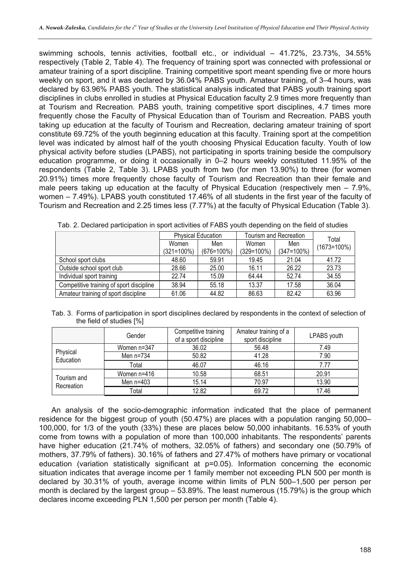swimming schools, tennis activities, football etc., or individual - 41.72%, 23.73%, 34.55% respectively (Table 2, Table 4). The frequency of training sport was connected with professional or amateur training of a sport discipline. Training competitive sport meant spending five or more hours weekly on sport, and it was declared by 36.04% PABS youth. Amateur training, of 3–4 hours, was declared by 63.96% PABS youth. The statistical analysis indicated that PABS youth training sport disciplines in clubs enrolled in studies at Physical Education faculty 2.9 times more frequently than at Tourism and Recreation. PABS youth, training competitive sport disciplines, 4.7 times more frequently chose the Faculty of Physical Education than of Tourism and Recreation. PABS youth taking up education at the faculty of Tourism and Recreation, declaring amateur training of sport constitute 69.72% of the youth beginning education at this faculty. Training sport at the competition level was indicated by almost half of the youth choosing Physical Education faculty. Youth of low physical activity before studies (LPABS), not participating in sports training beside the compulsory education programme, or doing it occasionally in 0–2 hours weekly constituted 11.95% of the respondents (Table 2, Table 3). LPABS youth from two (for men 13.90%) to three (for women 20.91%) times more frequently chose faculty of Tourism and Recreation than their female and male peers taking up education at the faculty of Physical Education (respectively men – 7.9%, women – 7.49%). LPABS youth constituted 17.46% of all students in the first year of the faculty of Tourism and Recreation and 2.25 times less (7.77%) at the faculty of Physical Education (Table 3).

|                                          |               | <b>Physical Education</b> | Tourism and Recreation | Total<br>$(1673=100\%)$ |       |
|------------------------------------------|---------------|---------------------------|------------------------|-------------------------|-------|
|                                          | Women<br>Men  |                           | Women                  |                         |       |
|                                          | $(321=100\%)$ | $(676=100\%)$             | $(329=100\%)$          | $(347=100\%)$           |       |
| School sport clubs                       | 48.60         | 59.91                     | 19.45                  | 21.04                   | 41.72 |
| Outside school sport club                | 28.66         | 25.00                     | 16.11                  | 26.22                   | 23.73 |
| Individual sport training                | 22.74         | 15.09                     | 64.44                  | 52.74                   | 34.55 |
| Competitive training of sport discipline | 38.94         | 55.18                     | 13.37                  | 17.58                   | 36.04 |
| Amateur training of sport discipline     | 61.06         | 44.82                     | 86.63                  | 82.42                   | 63.96 |

Tab. 2. Declared participation in sport activities of FABS youth depending on the field of studies

|  | Tab. 3. Forms of participation in sport disciplines declared by respondents in the context of selection of |
|--|------------------------------------------------------------------------------------------------------------|
|  | the field of studies [%]                                                                                   |

|                           | Gender               | Competitive training<br>of a sport discipline | Amateur training of a<br>sport discipline | LPABS youth |
|---------------------------|----------------------|-----------------------------------------------|-------------------------------------------|-------------|
|                           | Women n=347          | 36.02                                         | 56.48                                     | 7.49        |
| Physical<br>Education     | 50.82<br>Men $n=734$ |                                               | 41.28                                     | 7.90        |
|                           | Total                | 46.07                                         | 46.16                                     | 7.77        |
| Tourism and<br>Recreation | Women n=416          | 10.58                                         | 68.51                                     | 20.91       |
|                           | 15.14<br>Men $n=403$ |                                               | 70.97                                     | 13.90       |
|                           | Total                | 12.82                                         | 69.72                                     | 17.46       |

An analysis of the socio-demographic information indicated that the place of permanent residence for the biggest group of youth (50.47%) are places with a population ranging 50,000– 100,000, for 1/3 of the youth (33%) these are places below 50,000 inhabitants. 16.53% of youth come from towns with a population of more than 100,000 inhabitants. The respondents' parents have higher education (21.74% of mothers, 32.05% of fathers) and secondary one (50.79% of mothers, 37.79% of fathers). 30.16% of fathers and 27.47% of mothers have primary or vocational education (variation statistically significant at p=0.05). Information concerning the economic situation indicates that average income per 1 family member not exceeding PLN 500 per month is declared by 30.31% of youth, average income within limits of PLN 500–1,500 per person per month is declared by the largest group – 53.89%. The least numerous (15.79%) is the group which declares income exceeding PLN 1,500 per person per month (Table 4).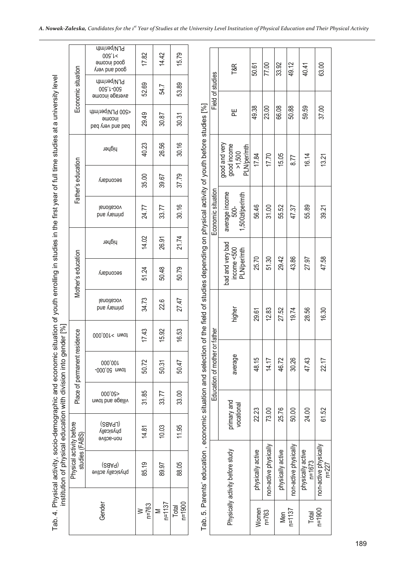|                                                                                                                              |                                            | Gender                                               | $n = 763$<br>$\geq$ | $n = 1137$<br>Σ | $n = 1900$<br>Total |                                                                                                                                                  |                               |                                                       | Women             | $n = 763$             | Men               | $n = 1137$            |
|------------------------------------------------------------------------------------------------------------------------------|--------------------------------------------|------------------------------------------------------|---------------------|-----------------|---------------------|--------------------------------------------------------------------------------------------------------------------------------------------------|-------------------------------|-------------------------------------------------------|-------------------|-----------------------|-------------------|-----------------------|
| institution of physical education with division into gender [%]<br>Tab. 4. Physical activity, socio-demographic and economic | Physical activity before<br>studies (FABS) | əvitəs vllasizydq<br>Əvitəs (SaAq)                   | 85.19               | 89.97           | 88.05               | Tab. 5. Parents' education , economic situation and selection of the field of studies depending on physical activity of youth before studies [%] |                               | Physically activity before study                      | physically active | non-active physically | physically active | non-active physically |
|                                                                                                                              |                                            | (LPABS)<br>(RBAPL)<br>non-active                     | 14.81               | 10.03           | 11.95               |                                                                                                                                                  |                               | primary and<br>vocational                             | 22.23             | 73.00                 | 25.76             | 50.00                 |
|                                                                                                                              |                                            | 000'09><br>village and town                          | 31.85               | 33.77           | 33.00               |                                                                                                                                                  |                               |                                                       |                   |                       |                   |                       |
|                                                                                                                              | Place of permanent                         | 000,001<br>-000'09 uwot                              | 50.72               | 50.31           | 50.47               |                                                                                                                                                  | Education of mother or father | average                                               | 48.15             | 14.17                 | 46.72             | 30.26                 |
|                                                                                                                              | esidence                                   | 100,001< nwot                                        | 17.43               | 15.92           | 16.53               |                                                                                                                                                  |                               |                                                       |                   |                       |                   |                       |
| situation of youth enrolling in studies in the first year of full time studies at a university level                         |                                            | lanoiteoov<br>pue <i>l</i> ue mind                   | 34.73               | 22.6            | 27.47               |                                                                                                                                                  |                               | higher                                                | 29.61             | 12.83                 | 27.52             | 19.74                 |
|                                                                                                                              | Mother's education                         | Secouqary                                            | 51.24               | 50.48           | 50.79               |                                                                                                                                                  |                               | bad and very bad<br>income <500<br>PLN/per/mth        | 25.70             | 51.30                 | 29.42             | 43.86                 |
|                                                                                                                              |                                            | higher                                               | 14.02               | 26.91           | 21.74               |                                                                                                                                                  |                               |                                                       |                   |                       |                   |                       |
|                                                                                                                              |                                            | lanoiteoov<br>pus visming                            | 24.77               | 33.77           | 30.16               |                                                                                                                                                  | Economic situation            | average income<br>1,500zł/per/mth<br>500-             | 56.46             | 31.00                 | 55.52             | 47.37                 |
|                                                                                                                              | Father's education                         | secouqary                                            | 35.00               | 39.67           | 37.79               |                                                                                                                                                  |                               |                                                       |                   |                       |                   |                       |
|                                                                                                                              |                                            | higher                                               | 40.23               | 26.56           | 30.16               |                                                                                                                                                  |                               | good and very<br>good income<br>PLN/per/mth<br>>1,500 | 17.84             | 17.70                 | 15.05             | 8.77                  |
|                                                                                                                              |                                            | <800 brWher/mth<br>income<br>bad and very bad        | 29.49               | 30.87           | 30.31               |                                                                                                                                                  |                               | 뿐                                                     | 49.38             | 23.00                 | 66.08             | 50.88                 |
|                                                                                                                              | Economic situation                         | PLN/per/mth<br>009'1-009<br>arerage income           | 52.69               | 54.7            | 53.89               |                                                                                                                                                  | Field of studies              |                                                       |                   |                       |                   |                       |
|                                                                                                                              |                                            | PLN/per/mth<br>009'L<<br>amooni boog<br>Лал рие рооб | 1782                | 14.42           | 15.79               |                                                                                                                                                  |                               | T&R                                                   | 50.61             | 77.00                 | 33.92             | 49.12                 |

physically active

physically active<br>n=1673

n=1900 non-active physically

 $\frac{Total}{n = 1900}$ 

non-active physically<br>n=227

Total P<sup>riysicaliy acuve</sup> | 24.00 47.43 | 28.56 | 27.97 | 55.89 | 16.14 | 59.59 | 40.41<br>Total n=1673

28.56

47.43

24.00

27.97

ne priysically | 61.52 | 61.52 | 47.58 | 47.58 | 39.21 13.21 | 37.00 13.21 | 63.00<br>n=227

47.58

16.30

22.17

61.52

63.00

37.00

13.21

39.21

40.41

59.59

16.14

55.89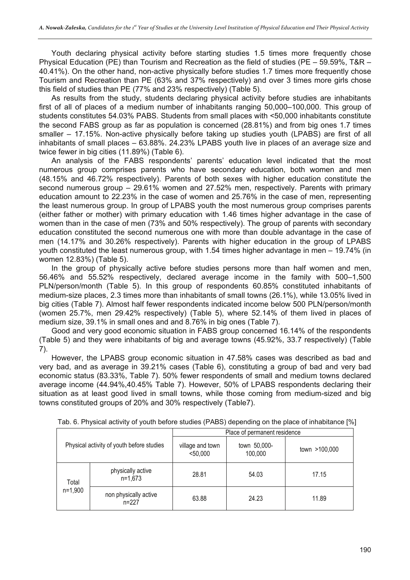Youth declaring physical activity before starting studies 1.5 times more frequently chose Physical Education (PE) than Tourism and Recreation as the field of studies (PE – 59.59%, T&R – 40.41%). On the other hand, non-active physically before studies 1.7 times more frequently chose Tourism and Recreation than PE (63% and 37% respectively) and over 3 times more girls chose this field of studies than PE (77% and 23% respectively) (Table 5).

As results from the study, students declaring physical activity before studies are inhabitants first of all of places of a medium number of inhabitants ranging 50,000–100,000. This group of students constitutes 54.03% PABS. Students from small places with <50,000 inhabitants constitute the second FABS group as far as population is concerned (28.81%) and from big ones 1.7 times smaller – 17.15%. Non-active physically before taking up studies youth (LPABS) are first of all inhabitants of small places – 63.88%. 24.23% LPABS youth live in places of an average size and twice fewer in big cities (11.89%) (Table 6).

An analysis of the FABS respondents' parents' education level indicated that the most numerous group comprises parents who have secondary education, both women and men (48.15% and 46.72% respectively). Parents of both sexes with higher education constitute the second numerous group – 29.61% women and 27.52% men, respectively. Parents with primary education amount to 22.23% in the case of women and 25.76% in the case of men, representing the least numerous group. In group of LPABS youth the most numerous group comprises parents (either father or mother) with primary education with 1.46 times higher advantage in the case of women than in the case of men (73% and 50% respectively). The group of parents with secondary education constituted the second numerous one with more than double advantage in the case of men (14.17% and 30.26% respectively). Parents with higher education in the group of LPABS youth constituted the least numerous group, with 1.54 times higher advantage in men – 19.74% (in women 12.83%) (Table 5).

In the group of physically active before studies persons more than half women and men, 56.46% and 55.52% respectively, declared average income in the family with 500–1,500 PLN/person/month (Table 5). In this group of respondents 60.85% constituted inhabitants of medium-size places, 2.3 times more than inhabitants of small towns (26.1%), while 13.05% lived in big cities (Table 7). Almost half fewer respondents indicated income below 500 PLN/person/month (women 25.7%, men 29.42% respectively) (Table 5), where 52.14% of them lived in places of medium size, 39.1% in small ones and and 8.76% in big ones (Table 7).

Good and very good economic situation in FABS group concerned 16.14% of the respondents (Table 5) and they were inhabitants of big and average towns (45.92%, 33.7 respectively) (Table 7).

However, the LPABS group economic situation in 47.58% cases was described as bad and very bad, and as average in 39.21% cases (Table 6), constituting a group of bad and very bad economic status (83.33%, Table 7). 50% fewer respondents of small and medium towns declared average income (44.94%,40.45% Table 7). However, 50% of LPABS respondents declaring their situation as at least good lived in small towns, while those coming from medium-sized and big towns constituted groups of 20% and 30% respectively (Table7).

|                    |                                           | Place of permanent residence   |                         |               |  |  |  |
|--------------------|-------------------------------------------|--------------------------------|-------------------------|---------------|--|--|--|
|                    | Physical activity of youth before studies | village and town<br>$<$ 50,000 | town 50,000-<br>100,000 | town >100,000 |  |  |  |
| Total<br>$n=1,900$ | physically active<br>$n=1.673$            | 28.81                          | 54.03                   | 17.15         |  |  |  |
|                    | non physically active<br>$n = 227$        | 63.88                          | 24.23                   | 11.89         |  |  |  |

Tab. 6. Physical activity of youth before studies (PABS) depending on the place of inhabitance [%]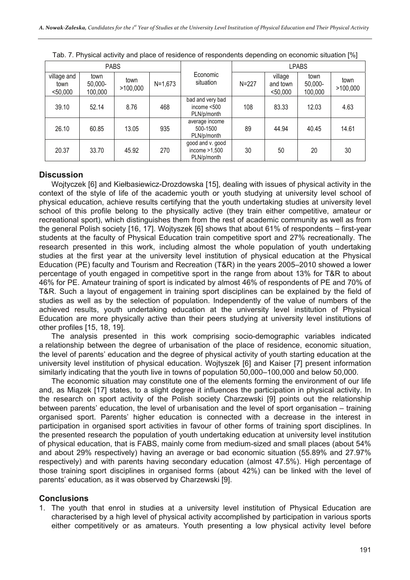|                                 | <b>PABS</b>                |                  |             |                                                    |           |                                 | <b>LPABS</b>               |                  |
|---------------------------------|----------------------------|------------------|-------------|----------------------------------------------------|-----------|---------------------------------|----------------------------|------------------|
| village and<br>town<br>$50,000$ | town<br>50,000-<br>100,000 | town<br>>100,000 | $N = 1,673$ | Economic<br>situation                              | $N = 227$ | village<br>and town<br>$50,000$ | town<br>50,000-<br>100,000 | town<br>>100,000 |
| 39.10                           | 52.14                      | 8.76             | 468         | bad and very bad<br>income $< 500$<br>PLN/p/month  | 108       | 83.33                           | 12.03                      | 4.63             |
| 26.10                           | 60.85                      | 13.05            | 935         | average income<br>500-1500<br>PLN/p/month          | 89        | 44.94                           | 40.45                      | 14.61            |
| 20.37                           | 33.70                      | 45.92            | 270         | good and v. good<br>income $>1,500$<br>PLN/p/month | 30        | 50                              | 20                         | 30               |

Tab. 7. Physical activity and place of residence of respondents depending on economic situation [%]

# **Discussion**

Wojtyczek [6] and Kiełbasiewicz-Drozdowska [15], dealing with issues of physical activity in the context of the style of life of the academic youth or youth studying at university level school of physical education, achieve results certifying that the youth undertaking studies at university level school of this profile belong to the physically active (they train either competitive, amateur or recreational sport), which distinguishes them from the rest of academic community as well as from the general Polish society [16, 17]. Wojtyszek [6] shows that about 61% of respondents – first-year students at the faculty of Physical Education train competitive sport and 27% recreationally. The research presented in this work, including almost the whole population of youth undertaking studies at the first year at the university level institution of physical education at the Physical Education (PE) faculty and Tourism and Recreation (T&R) in the years 2005–2010 showed a lower percentage of youth engaged in competitive sport in the range from about 13% for T&R to about 46% for PE. Amateur training of sport is indicated by almost 46% of respondents of PE and 70% of T&R. Such a layout of engagement in training sport disciplines can be explained by the field of studies as well as by the selection of population. Independently of the value of numbers of the achieved results, youth undertaking education at the university level institution of Physical Education are more physically active than their peers studying at university level institutions of other profiles [15, 18, 19].

The analysis presented in this work comprising socio-demographic variables indicated a relationship between the degree of urbanisation of the place of residence, economic situation, the level of parents' education and the degree of physical activity of youth starting education at the university level institution of physical education. Wojtyszek [6] and Kaiser [7] present information similarly indicating that the youth live in towns of population 50,000–100,000 and below 50,000.

The economic situation may constitute one of the elements forming the environment of our life and, as Miązek [17] states, to a slight degree it influences the participation in physical activity. In the research on sport activity of the Polish society Charzewski [9] points out the relationship between parents' education, the level of urbanisation and the level of sport organisation – training organised sport. Parents' higher education is connected with a decrease in the interest in participation in organised sport activities in favour of other forms of training sport disciplines. In the presented research the population of youth undertaking education at university level institution of physical education, that is FABS, mainly come from medium-sized and small places (about 54% and about 29% respectively) having an average or bad economic situation (55.89% and 27.97% respectively) and with parents having secondary education (almost 47.5%). High percentage of those training sport disciplines in organised forms (about 42%) can be linked with the level of parents' education, as it was observed by Charzewski [9].

### **Conclusions**

1. The youth that enrol in studies at a university level institution of Physical Education are characterised by a high level of physical activity accomplished by participation in various sports either competitively or as amateurs. Youth presenting a low physical activity level before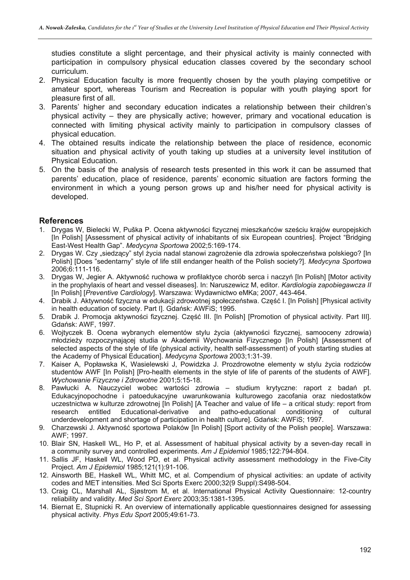studies constitute a slight percentage, and their physical activity is mainly connected with participation in compulsory physical education classes covered by the secondary school curriculum.

- 2. Physical Education faculty is more frequently chosen by the youth playing competitive or amateur sport, whereas Tourism and Recreation is popular with youth playing sport for pleasure first of all.
- 3. Parents' higher and secondary education indicates a relationship between their children's physical activity – they are physically active; however, primary and vocational education is connected with limiting physical activity mainly to participation in compulsory classes of physical education.
- 4. The obtained results indicate the relationship between the place of residence, economic situation and physical activity of youth taking up studies at a university level institution of Physical Education.
- 5. On the basis of the analysis of research tests presented in this work it can be assumed that parents' education, place of residence, parents' economic situation are factors forming the environment in which a young person grows up and his/her need for physical activity is developed.

#### **References**

- 1. Drygas W, Bielecki W, Puška P. Ocena aktywności fizycznej mieszkańców sześciu krajów europejskich [In Polish] [Assessment of physical activity of inhabitants of six European countries]. Project "Bridging East-West Health Gap". *Medycyna Sportowa* 2002;5:169-174.
- 2. Drygas W. Czy "siedzący" styl życia nadal stanowi zagrożenie dla zdrowia społeczeństwa polskiego? [In Polish] [Does "sedentarny" style of life still endanger health of the Polish society?]. *Medycyna Sportowa* 2006;6:111-116.
- 3. Drygas W, Jegier A. Aktywność ruchowa w profilaktyce chorób serca i naczyń [In Polish] [Motor activity in the prophylaxis of heart and vessel diseases]. In: Naruszewicz M, editor. *Kardiologia zapobiegawcza II* [In Polish] [*Preventive Cardiology*]. Warszawa: Wydawnictwo eMKa; 2007, 443-464.
- 4. Drabik J. Aktywność fizyczna w edukacji zdrowotnej społeczeństwa. Część I. [In Polish] [Physical activity in health education of society. Part I]. Gdańsk: AWFiS; 1995.
- 5. Drabik J. Promocja aktywności fizycznej. Część III. [In Polish] [Promotion of physical activity. Part III]. Gdańsk: AWF, 1997.
- 6. Wojtyczek B. Ocena wybranych elementów stylu życia (aktywności fizycznej, samooceny zdrowia) młodzieży rozpoczynającej studia w Akademii Wychowania Fizycznego [In Polish] [Assessment of selected aspects of the style of life (physical activity, health self-assessment) of youth starting studies at the Academy of Physical Education]. *Medycyna Sportowa* 2003;1:31-39.
- 7. Kaiser A, Popławska K, Wasielewski J, Powidzka J. Prozdrowotne elementy w stylu życia rodziców studentów AWF [In Polish] [Pro-health elements in the style of life of parents of the students of AWF]. *Wychowanie Fizyczne i Zdrowotne* 2001;5:15-18.
- 8. Pawłucki A. Nauczyciel wobec wartości zdrowia studium krytyczne: raport z badań pt. Edukacyjnopochodne i patoedukacyjne uwarunkowania kulturowego zacofania oraz niedostatków uczestnictwa w kulturze zdrowotnej [In Polish] [A Teacher and value of life – a critical study: report from research entitled Educational-derivative and patho-educational conditioning of cultural underdevelopment and shortage of participation in health culture]. Gdańsk: AWFiS; 1997.
- 9. Charzewski J. Aktywność sportowa Polaków [In Polish] [Sport activity of the Polish people]. Warszawa: AWF; 1997.
- 10. Blair SN, Haskell WL, Ho P, et al. Assessment of habitual physical activity by a seven-day recall in a community survey and controlled experiments. *Am J Epidemiol* 1985;122:794-804.
- 11. Sallis JF, Haskell WL, Wood PD, et al. Physical activity assessment methodology in the Five-City Project. *Am J Epidemiol* 1985;121(1):91-106.
- 12. Ainsworth BE, Haskell WL, Whitt MC, et al. Compendium of physical activities: an update of activity codes and MET intensities. Med Sci Sports Exerc 2000;32(9 Suppl):S498-504.
- 13. Craig CL, Marshall AL, Sjøstrom M, et al. International Physical Activity Questionnaire: 12-country reliability and validity. *Med Sci Sport Exerc* 2003;35:1381-1395.
- 14. Biernat E, Stupnicki R. An overview of internationally applicable questionnaires designed for assessing physical activity. *Phys Edu Sport* 2005;49:61-73.